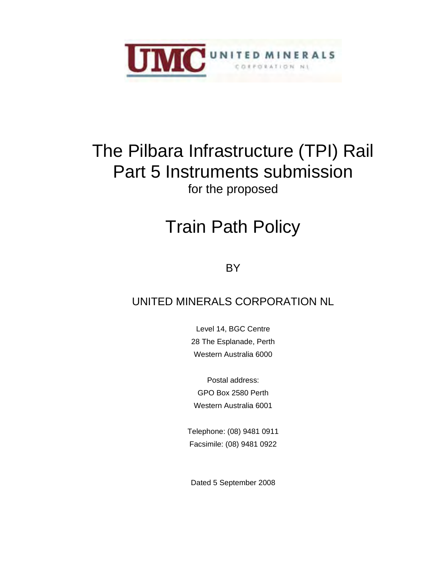

# The Pilbara Infrastructure (TPI) Rail Part 5 Instruments submission for the proposed

# Train Path Policy

**BY** 

# UNITED MINERALS CORPORATION NL

Level 14, BGC Centre 28 The Esplanade, Perth Western Australia 6000

Postal address: GPO Box 2580 Perth Western Australia 6001

Telephone: (08) 9481 0911 Facsimile: (08) 9481 0922

Dated 5 September 2008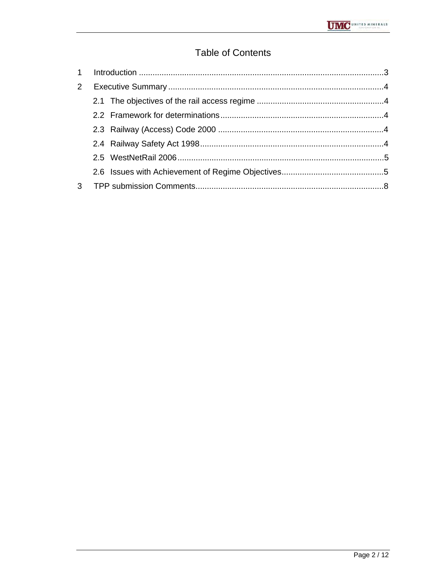## **Table of Contents**

| 2 <sup>1</sup> |  |
|----------------|--|
|                |  |
|                |  |
|                |  |
|                |  |
|                |  |
|                |  |
|                |  |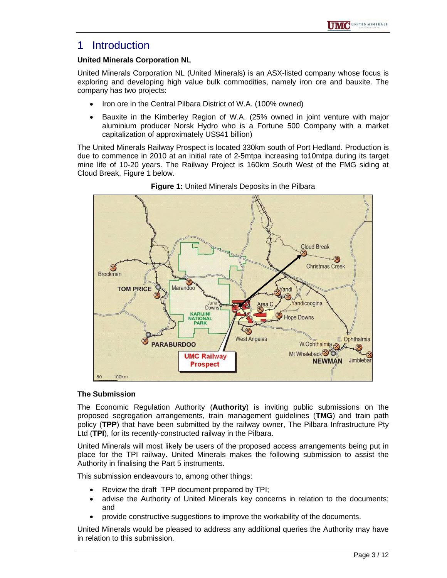### 1 Introduction

#### **United Minerals Corporation NL**

United Minerals Corporation NL (United Minerals) is an ASX-listed company whose focus is exploring and developing high value bulk commodities, namely iron ore and bauxite. The company has two projects:

- Iron ore in the Central Pilbara District of W.A. (100% owned)
- Bauxite in the Kimberley Region of W.A. (25% owned in joint venture with major aluminium producer Norsk Hydro who is a Fortune 500 Company with a market capitalization of approximately US\$41 billion)

The United Minerals Railway Prospect is located 330km south of Port Hedland. Production is due to commence in 2010 at an initial rate of 2-5mtpa increasing to10mtpa during its target mine life of 10-20 years. The Railway Project is 160km South West of the FMG siding at Cloud Break, Figure 1 below.



**Figure 1:** United Minerals Deposits in the Pilbara

#### **The Submission**

The Economic Regulation Authority (**Authority**) is inviting public submissions on the proposed segregation arrangements, train management guidelines (**TMG**) and train path policy (**TPP**) that have been submitted by the railway owner, The Pilbara Infrastructure Pty Ltd (**TPI**), for its recently-constructed railway in the Pilbara.

United Minerals will most likely be users of the proposed access arrangements being put in place for the TPI railway. United Minerals makes the following submission to assist the Authority in finalising the Part 5 instruments.

This submission endeavours to, among other things:

- Review the draft TPP document prepared by TPI;
- advise the Authority of United Minerals key concerns in relation to the documents; and
- provide constructive suggestions to improve the workability of the documents.

United Minerals would be pleased to address any additional queries the Authority may have in relation to this submission.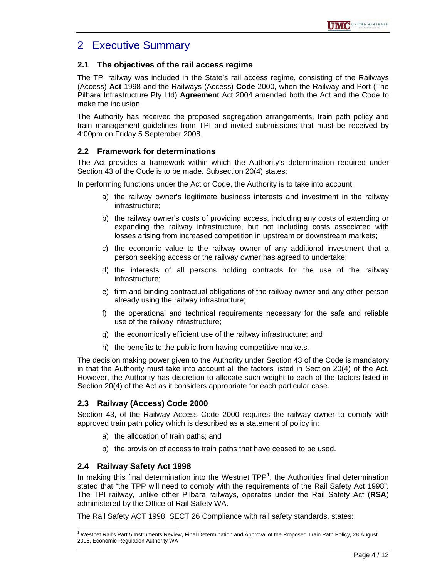# 2 Executive Summary

#### **2.1 The objectives of the rail access regime**

The TPI railway was included in the State's rail access regime, consisting of the Railways (Access) **Act** 1998 and the Railways (Access) **Code** 2000, when the Railway and Port (The Pilbara Infrastructure Pty Ltd) **Agreement** Act 2004 amended both the Act and the Code to make the inclusion.

The Authority has received the proposed segregation arrangements, train path policy and train management guidelines from TPI and invited submissions that must be received by 4:00pm on Friday 5 September 2008.

#### **2.2 Framework for determinations**

The Act provides a framework within which the Authority's determination required under Section 43 of the Code is to be made. Subsection 20(4) states:

In performing functions under the Act or Code, the Authority is to take into account:

- a) the railway owner's legitimate business interests and investment in the railway infrastructure;
- b) the railway owner's costs of providing access, including any costs of extending or expanding the railway infrastructure, but not including costs associated with losses arising from increased competition in upstream or downstream markets;
- c) the economic value to the railway owner of any additional investment that a person seeking access or the railway owner has agreed to undertake;
- d) the interests of all persons holding contracts for the use of the railway infrastructure;
- e) firm and binding contractual obligations of the railway owner and any other person already using the railway infrastructure;
- f) the operational and technical requirements necessary for the safe and reliable use of the railway infrastructure;
- g) the economically efficient use of the railway infrastructure; and
- h) the benefits to the public from having competitive markets.

The decision making power given to the Authority under Section 43 of the Code is mandatory in that the Authority must take into account all the factors listed in Section 20(4) of the Act. However, the Authority has discretion to allocate such weight to each of the factors listed in Section 20(4) of the Act as it considers appropriate for each particular case.

#### **2.3 Railway (Access) Code 2000**

Section 43, of the Railway Access Code 2000 requires the railway owner to comply with approved train path policy which is described as a statement of policy in:

- a) the allocation of train paths; and
- b) the provision of access to train paths that have ceased to be used.

#### **2.4 Railway Safety Act 1998**

In making this final determination into the Westnet  $TPP<sup>1</sup>$ , the Authorities final determination stated that "the TPP will need to comply with the requirements of the Rail Safety Act 1998". The TPI railway, unlike other Pilbara railways, operates under the Rail Safety Act (**RSA**) administered by the Office of Rail Safety WA.

The Rail Safety ACT 1998: SECT 26 Compliance with rail safety standards, states:

 $\overline{a}$ <sup>1</sup> Westnet Rail's Part 5 Instruments Review, Final Determination and Approval of the Proposed Train Path Policy, 28 August 2006, Economic Regulation Authority WA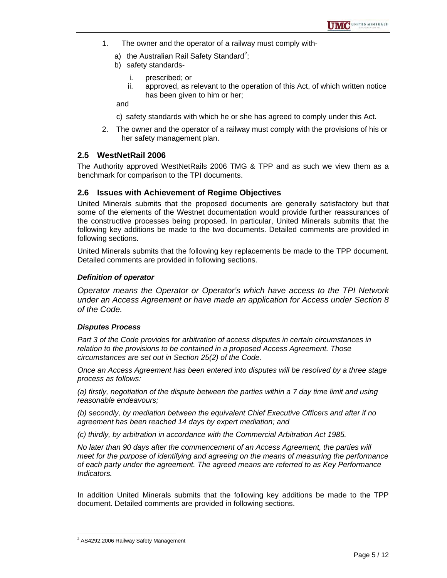- 1. The owner and the operator of a railway must comply with
	- a) the Australian Rail Safety Standard<sup>2</sup>;
	- b) safety standards
		- i. prescribed; or
		- ii. approved, as relevant to the operation of this Act, of which written notice has been given to him or her;

and

c) safety standards with which he or she has agreed to comply under this Act.

2. The owner and the operator of a railway must comply with the provisions of his or her safety management plan.

#### **2.5 WestNetRail 2006**

The Authority approved WestNetRails 2006 TMG & TPP and as such we view them as a benchmark for comparison to the TPI documents.

#### **2.6 Issues with Achievement of Regime Objectives**

United Minerals submits that the proposed documents are generally satisfactory but that some of the elements of the Westnet documentation would provide further reassurances of the constructive processes being proposed. In particular, United Minerals submits that the following key additions be made to the two documents. Detailed comments are provided in following sections.

United Minerals submits that the following key replacements be made to the TPP document. Detailed comments are provided in following sections.

#### *Definition of operator*

*Operator means the Operator or Operator's which have access to the TPI Network under an Access Agreement or have made an application for Access under Section 8 of the Code.*

#### *Disputes Process*

*Part 3 of the Code provides for arbitration of access disputes in certain circumstances in relation to the provisions to be contained in a proposed Access Agreement. Those circumstances are set out in Section 25(2) of the Code.* 

*Once an Access Agreement has been entered into disputes will be resolved by a three stage process as follows:* 

*(a) firstly, negotiation of the dispute between the parties within a 7 day time limit and using reasonable endeavours;* 

*(b) secondly, by mediation between the equivalent Chief Executive Officers and after if no agreement has been reached 14 days by expert mediation; and* 

*(c) thirdly, by arbitration in accordance with the Commercial Arbitration Act 1985.* 

*No later than 90 days after the commencement of an Access Agreement, the parties will meet for the purpose of identifying and agreeing on the means of measuring the performance of each party under the agreement. The agreed means are referred to as Key Performance Indicators.* 

In addition United Minerals submits that the following key additions be made to the TPP document. Detailed comments are provided in following sections.

 $\overline{a}$ 

<sup>&</sup>lt;sup>2</sup> AS4292:2006 Railway Safety Management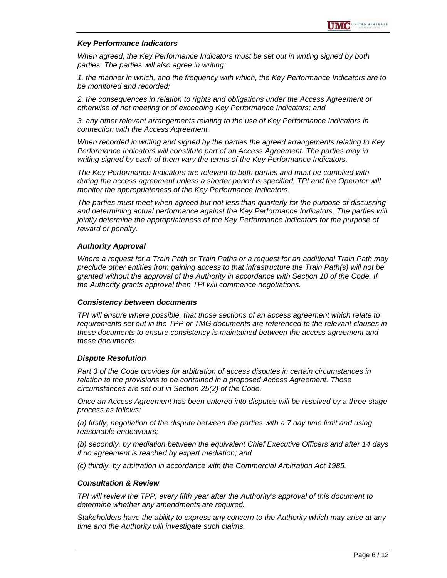#### *Key Performance Indicators*

*When agreed, the Key Performance Indicators must be set out in writing signed by both parties. The parties will also agree in writing:* 

*1. the manner in which, and the frequency with which, the Key Performance Indicators are to be monitored and recorded;* 

*2. the consequences in relation to rights and obligations under the Access Agreement or otherwise of not meeting or of exceeding Key Performance Indicators; and* 

*3. any other relevant arrangements relating to the use of Key Performance Indicators in connection with the Access Agreement.* 

*When recorded in writing and signed by the parties the agreed arrangements relating to Key Performance Indicators will constitute part of an Access Agreement. The parties may in writing signed by each of them vary the terms of the Key Performance Indicators.* 

*The Key Performance Indicators are relevant to both parties and must be complied with during the access agreement unless a shorter period is specified. TPI and the Operator will monitor the appropriateness of the Key Performance Indicators.* 

*The parties must meet when agreed but not less than quarterly for the purpose of discussing and determining actual performance against the Key Performance Indicators. The parties will jointly determine the appropriateness of the Key Performance Indicators for the purpose of reward or penalty.* 

#### *Authority Approval*

*Where a request for a Train Path or Train Paths or a request for an additional Train Path may preclude other entities from gaining access to that infrastructure the Train Path(s) will not be granted without the approval of the Authority in accordance with Section 10 of the Code. If the Authority grants approval then TPI will commence negotiations.* 

#### *Consistency between documents*

*TPI will ensure where possible, that those sections of an access agreement which relate to requirements set out in the TPP or TMG documents are referenced to the relevant clauses in these documents to ensure consistency is maintained between the access agreement and these documents.* 

#### *Dispute Resolution*

*Part 3 of the Code provides for arbitration of access disputes in certain circumstances in relation to the provisions to be contained in a proposed Access Agreement. Those circumstances are set out in Section 25(2) of the Code.* 

*Once an Access Agreement has been entered into disputes will be resolved by a three-stage process as follows:* 

*(a) firstly, negotiation of the dispute between the parties with a 7 day time limit and using reasonable endeavours;* 

*(b) secondly, by mediation between the equivalent Chief Executive Officers and after 14 days if no agreement is reached by expert mediation; and* 

*(c) thirdly, by arbitration in accordance with the Commercial Arbitration Act 1985.* 

#### *Consultation & Review*

*TPI will review the TPP, every fifth year after the Authority's approval of this document to determine whether any amendments are required.* 

*Stakeholders have the ability to express any concern to the Authority which may arise at any time and the Authority will investigate such claims.*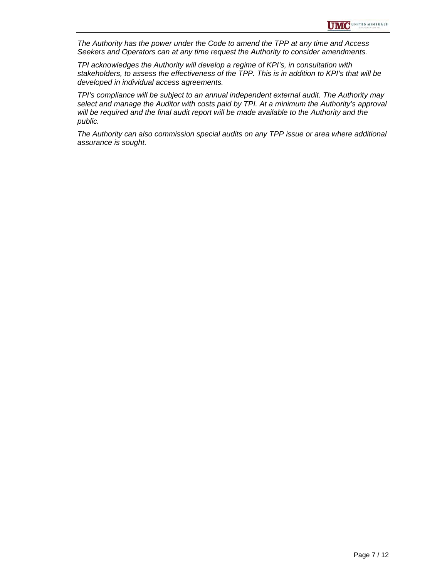*The Authority has the power under the Code to amend the TPP at any time and Access Seekers and Operators can at any time request the Authority to consider amendments.* 

*TPI acknowledges the Authority will develop a regime of KPI's, in consultation with stakeholders, to assess the effectiveness of the TPP. This is in addition to KPI's that will be developed in individual access agreements.* 

*TPI's compliance will be subject to an annual independent external audit. The Authority may select and manage the Auditor with costs paid by TPI. At a minimum the Authority's approval will be required and the final audit report will be made available to the Authority and the public.* 

*The Authority can also commission special audits on any TPP issue or area where additional assurance is sought.*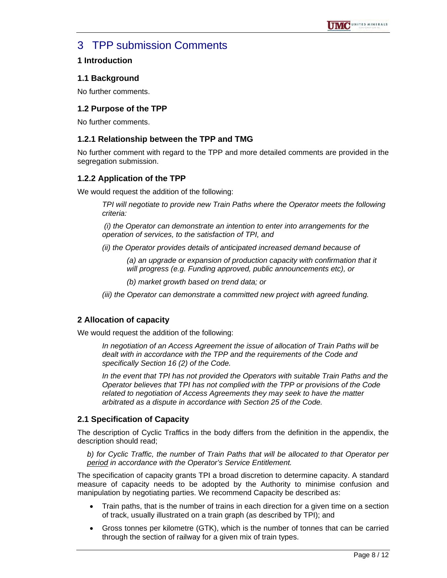# 3 TPP submission Comments

#### **1 Introduction**

#### **1.1 Background**

No further comments.

#### **1.2 Purpose of the TPP**

No further comments.

#### **1.2.1 Relationship between the TPP and TMG**

No further comment with regard to the TPP and more detailed comments are provided in the segregation submission.

#### **1.2.2 Application of the TPP**

We would request the addition of the following:

*TPI will negotiate to provide new Train Paths where the Operator meets the following criteria:* 

 *(i) the Operator can demonstrate an intention to enter into arrangements for the operation of services, to the satisfaction of TPI, and* 

*(ii) the Operator provides details of anticipated increased demand because of* 

*(a) an upgrade or expansion of production capacity with confirmation that it will progress (e.g. Funding approved, public announcements etc), or* 

*(b) market growth based on trend data; or* 

*(iii) the Operator can demonstrate a committed new project with agreed funding.* 

#### **2 Allocation of capacity**

We would request the addition of the following:

*In negotiation of an Access Agreement the issue of allocation of Train Paths will be dealt with in accordance with the TPP and the requirements of the Code and specifically Section 16 (2) of the Code.* 

*In the event that TPI has not provided the Operators with suitable Train Paths and the Operator believes that TPI has not complied with the TPP or provisions of the Code related to negotiation of Access Agreements they may seek to have the matter arbitrated as a dispute in accordance with Section 25 of the Code.* 

#### **2.1 Specification of Capacity**

The description of Cyclic Traffics in the body differs from the definition in the appendix, the description should read;

*b) for Cyclic Traffic, the number of Train Paths that will be allocated to that Operator per period in accordance with the Operator's Service Entitlement.* 

The specification of capacity grants TPI a broad discretion to determine capacity. A standard measure of capacity needs to be adopted by the Authority to minimise confusion and manipulation by negotiating parties. We recommend Capacity be described as:

- Train paths, that is the number of trains in each direction for a given time on a section of track, usually illustrated on a train graph (as described by TPI); and
- Gross tonnes per kilometre (GTK), which is the number of tonnes that can be carried through the section of railway for a given mix of train types.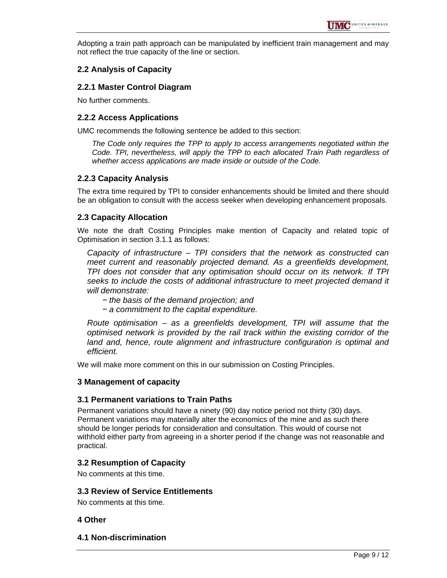Adopting a train path approach can be manipulated by inefficient train management and may not reflect the true capacity of the line or section.

#### **2.2 Analysis of Capacity**

#### **2.2.1 Master Control Diagram**

No further comments.

#### **2.2.2 Access Applications**

UMC recommends the following sentence be added to this section:

*The Code only requires the TPP to apply to access arrangements negotiated within the Code. TPI, nevertheless, will apply the TPP to each allocated Train Path regardless of whether access applications are made inside or outside of the Code.* 

#### **2.2.3 Capacity Analysis**

The extra time required by TPI to consider enhancements should be limited and there should be an obligation to consult with the access seeker when developing enhancement proposals.

#### **2.3 Capacity Allocation**

We note the draft Costing Principles make mention of Capacity and related topic of Optimisation in section 3.1.1 as follows:

*Capacity of infrastructure – TPI considers that the network as constructed can meet current and reasonably projected demand. As a greenfields development, TPI does not consider that any optimisation should occur on its network. If TPI seeks to include the costs of additional infrastructure to meet projected demand it will demonstrate:* 

- *− the basis of the demand projection; and*
- *− a commitment to the capital expenditure.*

*Route optimisation – as a greenfields development, TPI will assume that the optimised network is provided by the rail track within the existing corridor of the*  land and, hence, route alignment and infrastructure configuration is optimal and *efficient.*

We will make more comment on this in our submission on Costing Principles.

#### **3 Management of capacity**

#### **3.1 Permanent variations to Train Paths**

Permanent variations should have a ninety (90) day notice period not thirty (30) days. Permanent variations may materially alter the economics of the mine and as such there should be longer periods for consideration and consultation. This would of course not withhold either party from agreeing in a shorter period if the change was not reasonable and practical.

#### **3.2 Resumption of Capacity**

No comments at this time.

#### **3.3 Review of Service Entitlements**

No comments at this time.

#### **4 Other**

**4.1 Non-discrimination**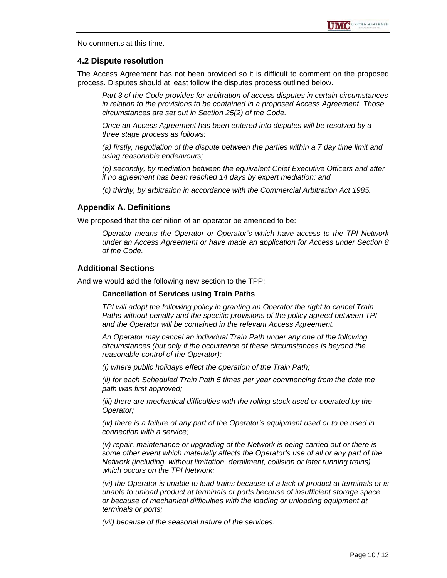No comments at this time.

#### **4.2 Dispute resolution**

The Access Agreement has not been provided so it is difficult to comment on the proposed process. Disputes should at least follow the disputes process outlined below.

*Part 3 of the Code provides for arbitration of access disputes in certain circumstances in relation to the provisions to be contained in a proposed Access Agreement. Those circumstances are set out in Section 25(2) of the Code.* 

*Once an Access Agreement has been entered into disputes will be resolved by a three stage process as follows:* 

*(a) firstly, negotiation of the dispute between the parties within a 7 day time limit and using reasonable endeavours;* 

*(b) secondly, by mediation between the equivalent Chief Executive Officers and after if no agreement has been reached 14 days by expert mediation; and* 

*(c) thirdly, by arbitration in accordance with the Commercial Arbitration Act 1985.* 

#### **Appendix A. Definitions**

We proposed that the definition of an operator be amended to be:

*Operator means the Operator or Operator's which have access to the TPI Network under an Access Agreement or have made an application for Access under Section 8 of the Code.* 

#### **Additional Sections**

And we would add the following new section to the TPP:

#### **Cancellation of Services using Train Paths**

*TPI will adopt the following policy in granting an Operator the right to cancel Train Paths without penalty and the specific provisions of the policy agreed between TPI and the Operator will be contained in the relevant Access Agreement.* 

*An Operator may cancel an individual Train Path under any one of the following circumstances (but only if the occurrence of these circumstances is beyond the reasonable control of the Operator):* 

*(i) where public holidays effect the operation of the Train Path;* 

*(ii)* for each Scheduled Train Path 5 times per year commencing from the date the *path was first approved;* 

*(iii) there are mechanical difficulties with the rolling stock used or operated by the Operator;* 

*(iv) there is a failure of any part of the Operator's equipment used or to be used in connection with a service;* 

*(v) repair, maintenance or upgrading of the Network is being carried out or there is some other event which materially affects the Operator's use of all or any part of the Network (including, without limitation, derailment, collision or later running trains) which occurs on the TPI Network;* 

*(vi) the Operator is unable to load trains because of a lack of product at terminals or is unable to unload product at terminals or ports because of insufficient storage space or because of mechanical difficulties with the loading or unloading equipment at terminals or ports;* 

*(vii) because of the seasonal nature of the services.*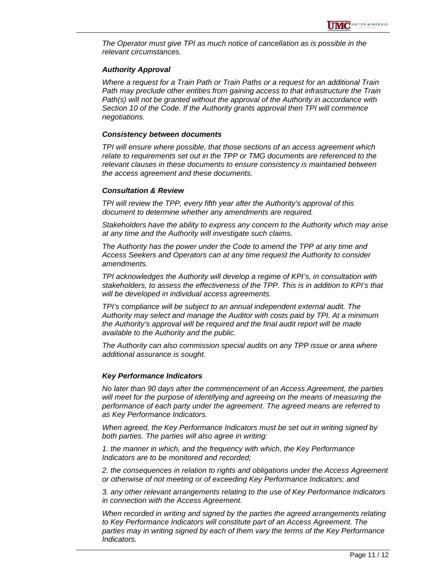*The Operator must give TPI as much notice of cancellation as is possible in the relevant circumstances.* 

#### *Authority Approval*

*Where a request for a Train Path or Train Paths or a request for an additional Train Path may preclude other entities from gaining access to that infrastructure the Train Path(s) will not be granted without the approval of the Authority in accordance with Section 10 of the Code. If the Authority grants approval then TPI will commence negotiations.* 

#### *Consistency between documents*

*TPI will ensure where possible, that those sections of an access agreement which relate to requirements set out in the TPP or TMG documents are referenced to the relevant clauses in these documents to ensure consistency is maintained between the access agreement and these documents.* 

#### *Consultation & Review*

*TPI will review the TPP, every fifth year after the Authority's approval of this document to determine whether any amendments are required.* 

*Stakeholders have the ability to express any concern to the Authority which may arise at any time and the Authority will investigate such claims.* 

*The Authority has the power under the Code to amend the TPP at any time and Access Seekers and Operators can at any time request the Authority to consider amendments.* 

*TPI acknowledges the Authority will develop a regime of KPI's, in consultation with stakeholders, to assess the effectiveness of the TPP. This is in addition to KPI's that will be developed in individual access agreements.* 

*TPI's compliance will be subject to an annual independent external audit. The Authority may select and manage the Auditor with costs paid by TPI. At a minimum the Authority's approval will be required and the final audit report will be made available to the Authority and the public.* 

*The Authority can also commission special audits on any TPP issue or area where additional assurance is sought.* 

#### *Key Performance Indicators*

*No later than 90 days after the commencement of an Access Agreement, the parties*  will meet for the purpose of identifying and agreeing on the means of measuring the *performance of each party under the agreement. The agreed means are referred to as Key Performance Indicators.* 

*When agreed, the Key Performance Indicators must be set out in writing signed by both parties. The parties will also agree in writing:* 

*1. the manner in which, and the frequency with which, the Key Performance Indicators are to be monitored and recorded;* 

*2. the consequences in relation to rights and obligations under the Access Agreement or otherwise of not meeting or of exceeding Key Performance Indicators; and* 

*3. any other relevant arrangements relating to the use of Key Performance Indicators in connection with the Access Agreement.* 

*When recorded in writing and signed by the parties the agreed arrangements relating to Key Performance Indicators will constitute part of an Access Agreement. The parties may in writing signed by each of them vary the terms of the Key Performance Indicators.*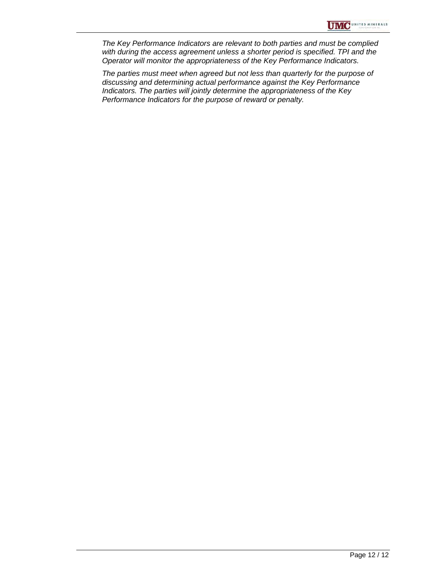*The Key Performance Indicators are relevant to both parties and must be complied with during the access agreement unless a shorter period is specified. TPI and the Operator will monitor the appropriateness of the Key Performance Indicators.* 

*The parties must meet when agreed but not less than quarterly for the purpose of discussing and determining actual performance against the Key Performance Indicators. The parties will jointly determine the appropriateness of the Key Performance Indicators for the purpose of reward or penalty.*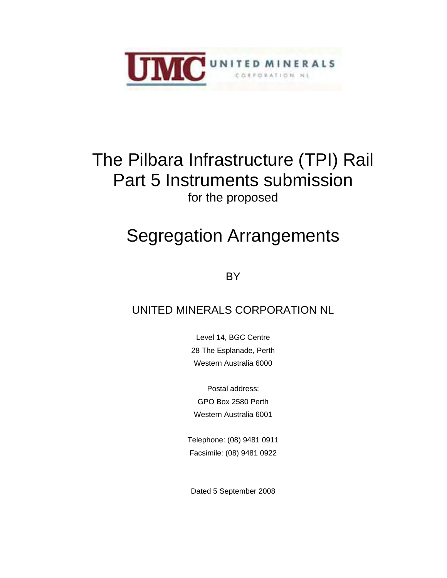

# The Pilbara Infrastructure (TPI) Rail Part 5 Instruments submission for the proposed

# Segregation Arrangements

**BY** 

# UNITED MINERALS CORPORATION NL

Level 14, BGC Centre 28 The Esplanade, Perth Western Australia 6000

Postal address: GPO Box 2580 Perth Western Australia 6001

Telephone: (08) 9481 0911 Facsimile: (08) 9481 0922

Dated 5 September 2008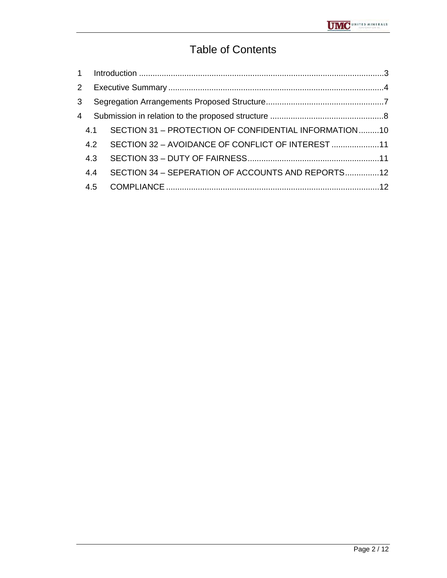# Table of Contents

| $\overline{2}$ |     |                                                       |  |
|----------------|-----|-------------------------------------------------------|--|
| 3              |     |                                                       |  |
| 4              |     |                                                       |  |
|                | 4.1 | SECTION 31 - PROTECTION OF CONFIDENTIAL INFORMATION10 |  |
|                | 4.2 | SECTION 32 - AVOIDANCE OF CONFLICT OF INTEREST 11     |  |
|                | 4.3 |                                                       |  |
|                | 4.4 | SECTION 34 - SEPERATION OF ACCOUNTS AND REPORTS12     |  |
|                |     |                                                       |  |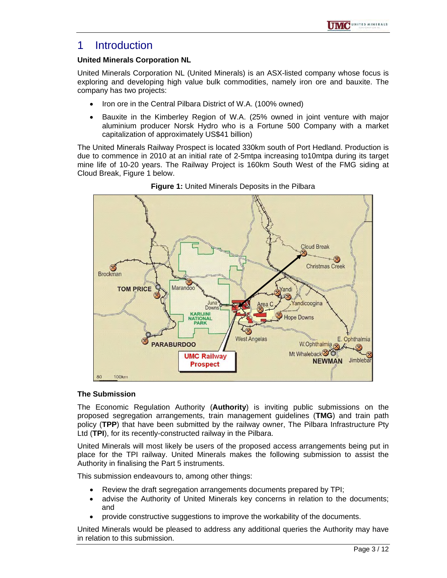### 1 Introduction

#### **United Minerals Corporation NL**

United Minerals Corporation NL (United Minerals) is an ASX-listed company whose focus is exploring and developing high value bulk commodities, namely iron ore and bauxite. The company has two projects:

- Iron ore in the Central Pilbara District of W.A. (100% owned)
- Bauxite in the Kimberley Region of W.A. (25% owned in joint venture with major aluminium producer Norsk Hydro who is a Fortune 500 Company with a market capitalization of approximately US\$41 billion)

The United Minerals Railway Prospect is located 330km south of Port Hedland. Production is due to commence in 2010 at an initial rate of 2-5mtpa increasing to10mtpa during its target mine life of 10-20 years. The Railway Project is 160km South West of the FMG siding at Cloud Break, Figure 1 below.



**Figure 1:** United Minerals Deposits in the Pilbara

#### **The Submission**

The Economic Regulation Authority (**Authority**) is inviting public submissions on the proposed segregation arrangements, train management guidelines (**TMG**) and train path policy (**TPP**) that have been submitted by the railway owner, The Pilbara Infrastructure Pty Ltd (**TPI**), for its recently-constructed railway in the Pilbara.

United Minerals will most likely be users of the proposed access arrangements being put in place for the TPI railway. United Minerals makes the following submission to assist the Authority in finalising the Part 5 instruments.

This submission endeavours to, among other things:

- Review the draft segregation arrangements documents prepared by TPI;
- advise the Authority of United Minerals key concerns in relation to the documents; and
- provide constructive suggestions to improve the workability of the documents.

United Minerals would be pleased to address any additional queries the Authority may have in relation to this submission.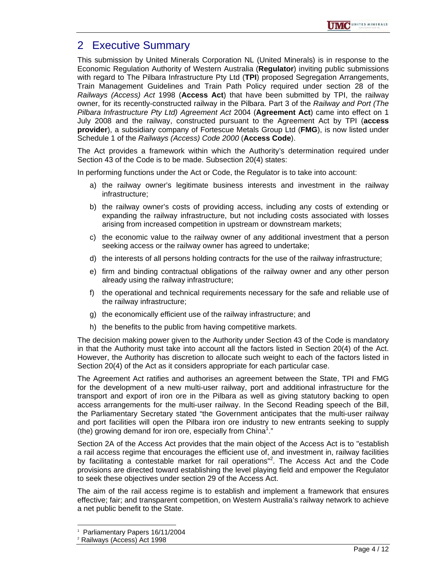## 2 Executive Summary

This submission by United Minerals Corporation NL (United Minerals) is in response to the Economic Regulation Authority of Western Australia (**Regulator**) inviting public submissions with regard to The Pilbara Infrastructure Pty Ltd (**TPI**) proposed Segregation Arrangements, Train Management Guidelines and Train Path Policy required under section 28 of the *Railways (Access) Act* 1998 (**Access Act**) that have been submitted by TPI, the railway owner, for its recently-constructed railway in the Pilbara. Part 3 of the *Railway and Port (The Pilbara Infrastructure Pty Ltd) Agreement Act* 2004 (**Agreement Act**) came into effect on 1 July 2008 and the railway, constructed pursuant to the Agreement Act by TPI (**access provider**), a subsidiary company of Fortescue Metals Group Ltd (**FMG**), is now listed under Schedule 1 of the *Railways (Access) Code 2000* (**Access Code**).

The Act provides a framework within which the Authority's determination required under Section 43 of the Code is to be made. Subsection 20(4) states:

In performing functions under the Act or Code, the Regulator is to take into account:

- a) the railway owner's legitimate business interests and investment in the railway infrastructure;
- b) the railway owner's costs of providing access, including any costs of extending or expanding the railway infrastructure, but not including costs associated with losses arising from increased competition in upstream or downstream markets;
- c) the economic value to the railway owner of any additional investment that a person seeking access or the railway owner has agreed to undertake;
- d) the interests of all persons holding contracts for the use of the railway infrastructure;
- e) firm and binding contractual obligations of the railway owner and any other person already using the railway infrastructure;
- f) the operational and technical requirements necessary for the safe and reliable use of the railway infrastructure;
- g) the economically efficient use of the railway infrastructure; and
- h) the benefits to the public from having competitive markets.

The decision making power given to the Authority under Section 43 of the Code is mandatory in that the Authority must take into account all the factors listed in Section 20(4) of the Act. However, the Authority has discretion to allocate such weight to each of the factors listed in Section 20(4) of the Act as it considers appropriate for each particular case.

The Agreement Act ratifies and authorises an agreement between the State, TPI and FMG for the development of a new multi-user railway, port and additional infrastructure for the transport and export of iron ore in the Pilbara as well as giving statutory backing to open access arrangements for the multi-user railway. In the Second Reading speech of the Bill, the Parliamentary Secretary stated "the Government anticipates that the multi-user railway and port facilities will open the Pilbara iron ore industry to new entrants seeking to supply (the) growing demand for iron ore, especially from China<sup>1</sup>."

Section 2A of the Access Act provides that the main object of the Access Act is to "establish a rail access regime that encourages the efficient use of, and investment in, railway facilities by facilitating a contestable market for rail operations"<sup>2</sup>. The Access Act and the Code provisions are directed toward establishing the level playing field and empower the Regulator to seek these objectives under section 29 of the Access Act.

The aim of the rail access regime is to establish and implement a framework that ensures effective; fair; and transparent competition, on Western Australia's railway network to achieve a net public benefit to the State.

 $\overline{a}$ 

<sup>1</sup> Parliamentary Papers 16/11/2004

<sup>2</sup> Railways (Access) Act 1998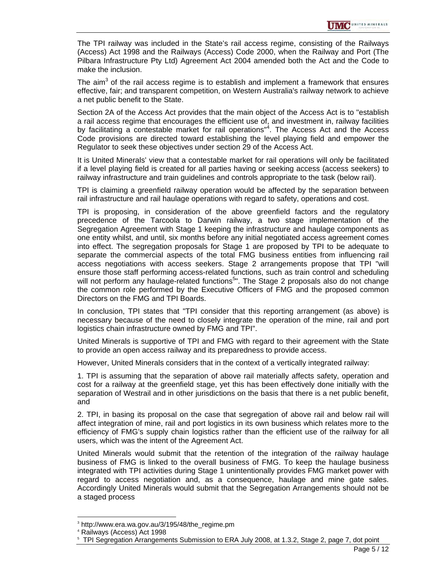The TPI railway was included in the State's rail access regime, consisting of the Railways (Access) Act 1998 and the Railways (Access) Code 2000, when the Railway and Port (The Pilbara Infrastructure Pty Ltd) Agreement Act 2004 amended both the Act and the Code to make the inclusion.

The aim $3$  of the rail access regime is to establish and implement a framework that ensures effective, fair; and transparent competition, on Western Australia's railway network to achieve a net public benefit to the State.

Section 2A of the Access Act provides that the main object of the Access Act is to "establish a rail access regime that encourages the efficient use of, and investment in, railway facilities by facilitating a contestable market for rail operations<sup>"4</sup>. The Access Act and the Access Code provisions are directed toward establishing the level playing field and empower the Regulator to seek these objectives under section 29 of the Access Act.

It is United Minerals' view that a contestable market for rail operations will only be facilitated if a level playing field is created for all parties having or seeking access (access seekers) to railway infrastructure and train guidelines and controls appropriate to the task (below rail).

TPI is claiming a greenfield railway operation would be affected by the separation between rail infrastructure and rail haulage operations with regard to safety, operations and cost.

TPI is proposing, in consideration of the above greenfield factors and the regulatory precedence of the Tarcoola to Darwin railway, a two stage implementation of the Segregation Agreement with Stage 1 keeping the infrastructure and haulage components as one entity whilst, and until, six months before any initial negotiated access agreement comes into effect. The segregation proposals for Stage 1 are proposed by TPI to be adequate to separate the commercial aspects of the total FMG business entities from influencing rail access negotiations with access seekers. Stage 2 arrangements propose that TPI "will ensure those staff performing access-related functions, such as train control and scheduling will not perform any haulage-related functions<sup>5</sup>". The Stage 2 proposals also do not change the common role performed by the Executive Officers of FMG and the proposed common Directors on the FMG and TPI Boards.

In conclusion, TPI states that "TPI consider that this reporting arrangement (as above) is necessary because of the need to closely integrate the operation of the mine, rail and port logistics chain infrastructure owned by FMG and TPI".

United Minerals is supportive of TPI and FMG with regard to their agreement with the State to provide an open access railway and its preparedness to provide access.

However, United Minerals considers that in the context of a vertically integrated railway:

1. TPI is assuming that the separation of above rail materially affects safety, operation and cost for a railway at the greenfield stage, yet this has been effectively done initially with the separation of Westrail and in other jurisdictions on the basis that there is a net public benefit, and

2. TPI, in basing its proposal on the case that segregation of above rail and below rail will affect integration of mine, rail and port logistics in its own business which relates more to the efficiency of FMG's supply chain logistics rather than the efficient use of the railway for all users, which was the intent of the Agreement Act.

United Minerals would submit that the retention of the integration of the railway haulage business of FMG is linked to the overall business of FMG. To keep the haulage business integrated with TPI activities during Stage 1 unintentionally provides FMG market power with regard to access negotiation and, as a consequence, haulage and mine gate sales. Accordingly United Minerals would submit that the Segregation Arrangements should not be a staged process

l

<sup>3</sup> http://www.era.wa.gov.au/3/195/48/the\_regime.pm

<sup>4</sup> Railways (Access) Act 1998

<sup>5</sup> TPI Segregation Arrangements Submission to ERA July 2008, at 1.3.2, Stage 2, page 7, dot point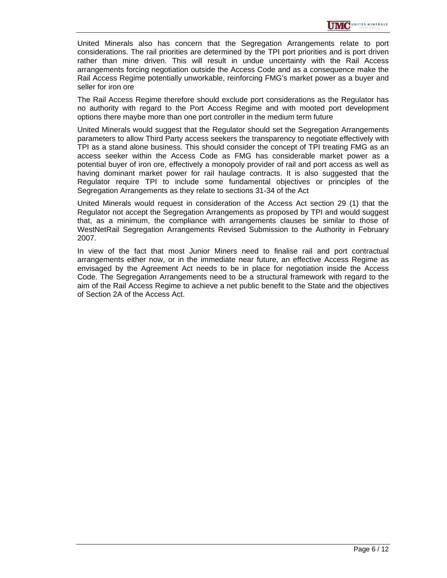United Minerals also has concern that the Segregation Arrangements relate to port considerations. The rail priorities are determined by the TPI port priorities and is port driven rather than mine driven. This will result in undue uncertainty with the Rail Access arrangements forcing negotiation outside the Access Code and as a consequence make the Rail Access Regime potentially unworkable, reinforcing FMG's market power as a buyer and seller for iron ore

The Rail Access Regime therefore should exclude port considerations as the Regulator has no authority with regard to the Port Access Regime and with mooted port development options there maybe more than one port controller in the medium term future

United Minerals would suggest that the Regulator should set the Segregation Arrangements parameters to allow Third Party access seekers the transparency to negotiate effectively with TPI as a stand alone business. This should consider the concept of TPI treating FMG as an access seeker within the Access Code as FMG has considerable market power as a potential buyer of iron ore, effectively a monopoly provider of rail and port access as well as having dominant market power for rail haulage contracts. It is also suggested that the Regulator require TPI to include some fundamental objectives or principles of the Segregation Arrangements as they relate to sections 31-34 of the Act

United Minerals would request in consideration of the Access Act section 29 (1) that the Regulator not accept the Segregation Arrangements as proposed by TPI and would suggest that, as a minimum, the compliance with arrangements clauses be similar to those of WestNetRail Segregation Arrangements Revised Submission to the Authority in February 2007.

In view of the fact that most Junior Miners need to finalise rail and port contractual arrangements either now, or in the immediate near future, an effective Access Regime as envisaged by the Agreement Act needs to be in place for negotiation inside the Access Code. The Segregation Arrangements need to be a structural framework with regard to the aim of the Rail Access Regime to achieve a net public benefit to the State and the objectives of Section 2A of the Access Act.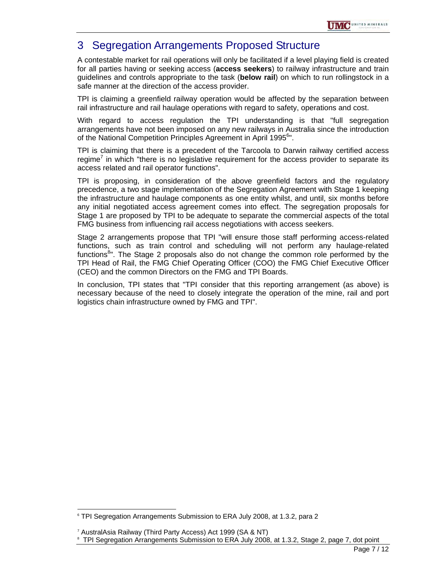

# 3 Segregation Arrangements Proposed Structure

A contestable market for rail operations will only be facilitated if a level playing field is created for all parties having or seeking access (**access seekers**) to railway infrastructure and train guidelines and controls appropriate to the task (**below rail**) on which to run rollingstock in a safe manner at the direction of the access provider.

TPI is claiming a greenfield railway operation would be affected by the separation between rail infrastructure and rail haulage operations with regard to safety, operations and cost.

With regard to access regulation the TPI understanding is that "full segregation arrangements have not been imposed on any new railways in Australia since the introduction of the National Competition Principles Agreement in April 1995<sup>6</sup>".

TPI is claiming that there is a precedent of the Tarcoola to Darwin railway certified access regime<sup>7</sup> in which "there is no legislative requirement for the access provider to separate its access related and rail operator functions".

TPI is proposing, in consideration of the above greenfield factors and the regulatory precedence, a two stage implementation of the Segregation Agreement with Stage 1 keeping the infrastructure and haulage components as one entity whilst, and until, six months before any initial negotiated access agreement comes into effect. The segregation proposals for Stage 1 are proposed by TPI to be adequate to separate the commercial aspects of the total FMG business from influencing rail access negotiations with access seekers.

Stage 2 arrangements propose that TPI "will ensure those staff performing access-related functions, such as train control and scheduling will not perform any haulage-related functions<sup>8</sup>". The Stage 2 proposals also do not change the common role performed by the TPI Head of Rail, the FMG Chief Operating Officer (COO) the FMG Chief Executive Officer (CEO) and the common Directors on the FMG and TPI Boards.

In conclusion, TPI states that "TPI consider that this reporting arrangement (as above) is necessary because of the need to closely integrate the operation of the mine, rail and port logistics chain infrastructure owned by FMG and TPI".

l

<sup>6</sup> TPI Segregation Arrangements Submission to ERA July 2008, at 1.3.2, para 2

<sup>7</sup> AustralAsia Railway (Third Party Access) Act 1999 (SA & NT)

<sup>8</sup> TPI Segregation Arrangements Submission to ERA July 2008, at 1.3.2, Stage 2, page 7, dot point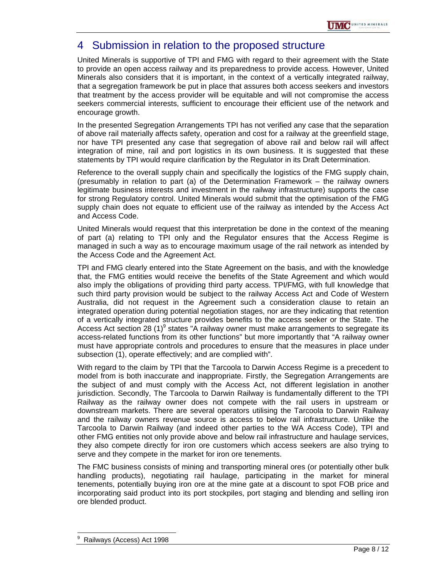### 4 Submission in relation to the proposed structure

United Minerals is supportive of TPI and FMG with regard to their agreement with the State to provide an open access railway and its preparedness to provide access. However, United Minerals also considers that it is important, in the context of a vertically integrated railway, that a segregation framework be put in place that assures both access seekers and investors that treatment by the access provider will be equitable and will not compromise the access seekers commercial interests, sufficient to encourage their efficient use of the network and encourage growth.

In the presented Segregation Arrangements TPI has not verified any case that the separation of above rail materially affects safety, operation and cost for a railway at the greenfield stage, nor have TPI presented any case that segregation of above rail and below rail will affect integration of mine, rail and port logistics in its own business. It is suggested that these statements by TPI would require clarification by the Regulator in its Draft Determination.

Reference to the overall supply chain and specifically the logistics of the FMG supply chain, (presumably in relation to part (a) of the Determination Framework – the railway owners legitimate business interests and investment in the railway infrastructure) supports the case for strong Regulatory control. United Minerals would submit that the optimisation of the FMG supply chain does not equate to efficient use of the railway as intended by the Access Act and Access Code.

United Minerals would request that this interpretation be done in the context of the meaning of part (a) relating to TPI only and the Regulator ensures that the Access Regime is managed in such a way as to encourage maximum usage of the rail network as intended by the Access Code and the Agreement Act.

TPI and FMG clearly entered into the State Agreement on the basis, and with the knowledge that, the FMG entities would receive the benefits of the State Agreement and which would also imply the obligations of providing third party access. TPI/FMG, with full knowledge that such third party provision would be subject to the railway Access Act and Code of Western Australia, did not request in the Agreement such a consideration clause to retain an integrated operation during potential negotiation stages, nor are they indicating that retention of a vertically integrated structure provides benefits to the access seeker or the State. The Access Act section 28 (1) $^9$  states "A railway owner must make arrangements to segregate its access-related functions from its other functions" but more importantly that "A railway owner must have appropriate controls and procedures to ensure that the measures in place under subsection (1), operate effectively; and are complied with".

With regard to the claim by TPI that the Tarcoola to Darwin Access Regime is a precedent to model from is both inaccurate and inappropriate. Firstly, the Segregation Arrangements are the subject of and must comply with the Access Act, not different legislation in another jurisdiction. Secondly, The Tarcoola to Darwin Railway is fundamentally different to the TPI Railway as the railway owner does not compete with the rail users in upstream or downstream markets. There are several operators utilising the Tarcoola to Darwin Railway and the railway owners revenue source is access to below rail infrastructure. Unlike the Tarcoola to Darwin Railway (and indeed other parties to the WA Access Code), TPI and other FMG entities not only provide above and below rail infrastructure and haulage services, they also compete directly for iron ore customers which access seekers are also trying to serve and they compete in the market for iron ore tenements.

The FMC business consists of mining and transporting mineral ores (or potentially other bulk handling products), negotiating rail haulage, participating in the market for mineral tenements, potentially buying iron ore at the mine gate at a discount to spot FOB price and incorporating said product into its port stockpiles, port staging and blending and selling iron ore blended product.

 $\overline{a}$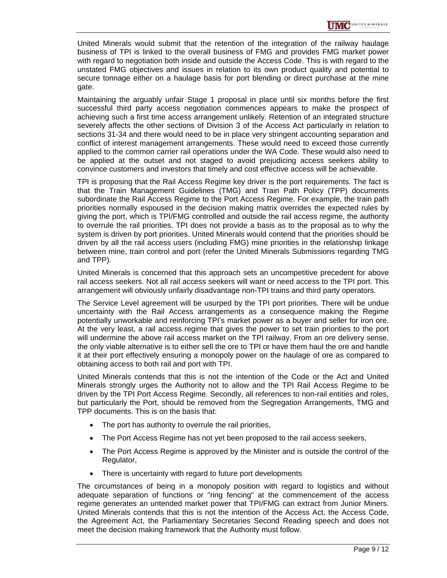United Minerals would submit that the retention of the integration of the railway haulage business of TPI is linked to the overall business of FMG and provides FMG market power with regard to negotiation both inside and outside the Access Code. This is with regard to the unstated FMG objectives and issues in relation to its own product quality and potential to secure tonnage either on a haulage basis for port blending or direct purchase at the mine gate.

Maintaining the arguably unfair Stage 1 proposal in place until six months before the first successful third party access negotiation commences appears to make the prospect of achieving such a first time access arrangement unlikely. Retention of an integrated structure severely affects the other sections of Division 3 of the Access Act particularly in relation to sections 31-34 and there would need to be in place very stringent accounting separation and conflict of interest management arrangements. These would need to exceed those currently applied to the common carrier rail operations under the WA Code. These would also need to be applied at the outset and not staged to avoid prejudicing access seekers ability to convince customers and investors that timely and cost effective access will be achievable.

TPI is proposing that the Rail Access Regime key driver is the port requirements. The fact is that the Train Management Guidelines (TMG) and Train Path Policy (TPP) documents subordinate the Rail Access Regime to the Port Access Regime. For example, the train path priorities normally espoused in the decision making matrix overrides the expected rules by giving the port, which is TPI/FMG controlled and outside the rail access regime, the authority to overrule the rail priorities. TPI does not provide a basis as to the proposal as to why the system is driven by port priorities. United Minerals would contend that the priorities should be driven by all the rail access users (including FMG) mine priorities in the relationship linkage between mine, train control and port (refer the United Minerals Submissions regarding TMG and TPP).

United Minerals is concerned that this approach sets an uncompetitive precedent for above rail access seekers. Not all rail access seekers will want or need access to the TPI port. This arrangement will obviously unfairly disadvantage non-TPI trains and third party operators.

The Service Level agreement will be usurped by the TPI port priorities. There will be undue uncertainty with the Rail Access arrangements as a consequence making the Regime potentially unworkable and reinforcing TPI's market power as a buyer and seller for iron ore. At the very least, a rail access regime that gives the power to set train priorities to the port will undermine the above rail access market on the TPI railway. From an ore delivery sense, the only viable alternative is to either sell the ore to TPI or have them haul the ore and handle it at their port effectively ensuring a monopoly power on the haulage of ore as compared to obtaining access to both rail and port with TPI.

United Minerals contends that this is not the intention of the Code or the Act and United Minerals strongly urges the Authority not to allow and the TPI Rail Access Regime to be driven by the TPI Port Access Regime. Secondly, all references to non-rail entities and roles, but particularly the Port, should be removed from the Segregation Arrangements, TMG and TPP documents. This is on the basis that:

- The port has authority to overrule the rail priorities,
- The Port Access Regime has not yet been proposed to the rail access seekers,
- The Port Access Regime is approved by the Minister and is outside the control of the Regulator,
- There is uncertainty with regard to future port developments

The circumstances of being in a monopoly position with regard to logistics and without adequate separation of functions or "ring fencing" at the commencement of the access regime generates an untended market power that TPI/FMG can extract from Junior Miners. United Minerals contends that this is not the intention of the Access Act, the Access Code, the Agreement Act, the Parliamentary Secretaries Second Reading speech and does not meet the decision making framework that the Authority must follow.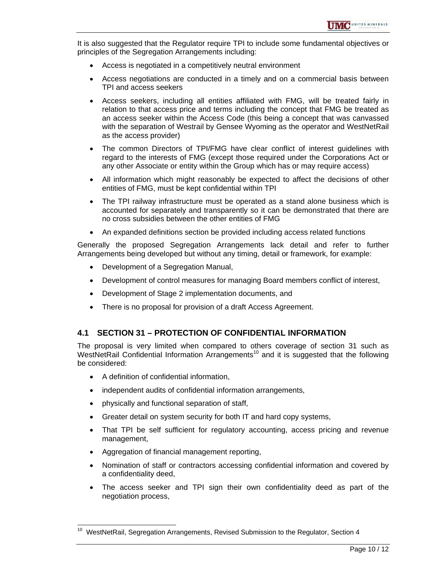It is also suggested that the Regulator require TPI to include some fundamental objectives or principles of the Segregation Arrangements including:

- Access is negotiated in a competitively neutral environment
- Access negotiations are conducted in a timely and on a commercial basis between TPI and access seekers
- Access seekers, including all entities affiliated with FMG, will be treated fairly in relation to that access price and terms including the concept that FMG be treated as an access seeker within the Access Code (this being a concept that was canvassed with the separation of Westrail by Gensee Wyoming as the operator and WestNetRail as the access provider)
- The common Directors of TPI/FMG have clear conflict of interest guidelines with regard to the interests of FMG (except those required under the Corporations Act or any other Associate or entity within the Group which has or may require access)
- All information which might reasonably be expected to affect the decisions of other entities of FMG, must be kept confidential within TPI
- The TPI railway infrastructure must be operated as a stand alone business which is accounted for separately and transparently so it can be demonstrated that there are no cross subsidies between the other entities of FMG
- An expanded definitions section be provided including access related functions

Generally the proposed Segregation Arrangements lack detail and refer to further Arrangements being developed but without any timing, detail or framework, for example:

- Development of a Segregation Manual,
- Development of control measures for managing Board members conflict of interest,
- Development of Stage 2 implementation documents, and
- There is no proposal for provision of a draft Access Agreement.

#### **4.1 SECTION 31 – PROTECTION OF CONFIDENTIAL INFORMATION**

The proposal is very limited when compared to others coverage of section 31 such as WestNetRail Confidential Information Arrangements<sup>10</sup> and it is suggested that the following be considered:

• A definition of confidential information,

l

- independent audits of confidential information arrangements,
- physically and functional separation of staff,
- Greater detail on system security for both IT and hard copy systems,
- That TPI be self sufficient for regulatory accounting, access pricing and revenue management,
- Aggregation of financial management reporting,
- Nomination of staff or contractors accessing confidential information and covered by a confidentiality deed,
- The access seeker and TPI sign their own confidentiality deed as part of the negotiation process,

 $10$  WestNetRail, Segregation Arrangements, Revised Submission to the Regulator, Section 4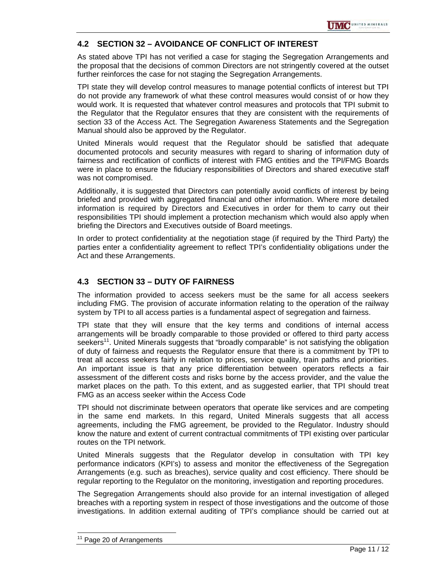#### **4.2 SECTION 32 – AVOIDANCE OF CONFLICT OF INTEREST**

As stated above TPI has not verified a case for staging the Segregation Arrangements and the proposal that the decisions of common Directors are not stringently covered at the outset further reinforces the case for not staging the Segregation Arrangements.

TPI state they will develop control measures to manage potential conflicts of interest but TPI do not provide any framework of what these control measures would consist of or how they would work. It is requested that whatever control measures and protocols that TPI submit to the Regulator that the Regulator ensures that they are consistent with the requirements of section 33 of the Access Act. The Segregation Awareness Statements and the Segregation Manual should also be approved by the Regulator.

United Minerals would request that the Regulator should be satisfied that adequate documented protocols and security measures with regard to sharing of information duty of fairness and rectification of conflicts of interest with FMG entities and the TPI/FMG Boards were in place to ensure the fiduciary responsibilities of Directors and shared executive staff was not compromised.

Additionally, it is suggested that Directors can potentially avoid conflicts of interest by being briefed and provided with aggregated financial and other information. Where more detailed information is required by Directors and Executives in order for them to carry out their responsibilities TPI should implement a protection mechanism which would also apply when briefing the Directors and Executives outside of Board meetings.

In order to protect confidentiality at the negotiation stage (if required by the Third Party) the parties enter a confidentiality agreement to reflect TPI's confidentiality obligations under the Act and these Arrangements.

#### **4.3 SECTION 33 – DUTY OF FAIRNESS**

The information provided to access seekers must be the same for all access seekers including FMG. The provision of accurate information relating to the operation of the railway system by TPI to all access parties is a fundamental aspect of segregation and fairness.

TPI state that they will ensure that the key terms and conditions of internal access arrangements will be broadly comparable to those provided or offered to third party access seekers<sup>11</sup>. United Minerals suggests that "broadly comparable" is not satisfying the obligation of duty of fairness and requests the Regulator ensure that there is a commitment by TPI to treat all access seekers fairly in relation to prices, service quality, train paths and priorities. An important issue is that any price differentiation between operators reflects a fair assessment of the different costs and risks borne by the access provider, and the value the market places on the path. To this extent, and as suggested earlier, that TPI should treat FMG as an access seeker within the Access Code

TPI should not discriminate between operators that operate like services and are competing in the same end markets. In this regard, United Minerals suggests that all access agreements, including the FMG agreement, be provided to the Regulator. Industry should know the nature and extent of current contractual commitments of TPI existing over particular routes on the TPI network.

United Minerals suggests that the Regulator develop in consultation with TPI key performance indicators (KPI's) to assess and monitor the effectiveness of the Segregation Arrangements (e.g. such as breaches), service quality and cost efficiency. There should be regular reporting to the Regulator on the monitoring, investigation and reporting procedures.

The Segregation Arrangements should also provide for an internal investigation of alleged breaches with a reporting system in respect of those investigations and the outcome of those investigations. In addition external auditing of TPI's compliance should be carried out at

 $\overline{a}$ 

<sup>&</sup>lt;sup>11</sup> Page 20 of Arrangements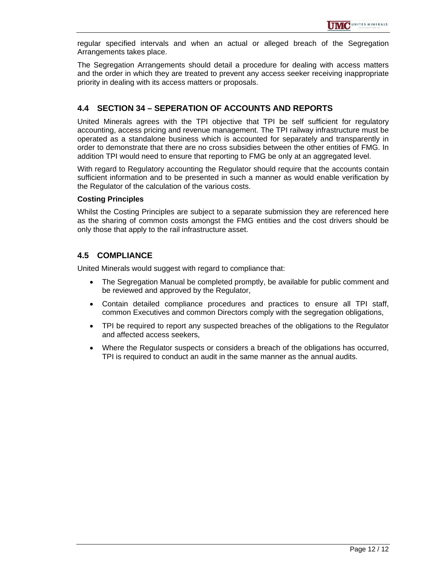regular specified intervals and when an actual or alleged breach of the Segregation Arrangements takes place.

The Segregation Arrangements should detail a procedure for dealing with access matters and the order in which they are treated to prevent any access seeker receiving inappropriate priority in dealing with its access matters or proposals.

#### **4.4 SECTION 34 – SEPERATION OF ACCOUNTS AND REPORTS**

United Minerals agrees with the TPI objective that TPI be self sufficient for regulatory accounting, access pricing and revenue management. The TPI railway infrastructure must be operated as a standalone business which is accounted for separately and transparently in order to demonstrate that there are no cross subsidies between the other entities of FMG. In addition TPI would need to ensure that reporting to FMG be only at an aggregated level.

With regard to Regulatory accounting the Regulator should require that the accounts contain sufficient information and to be presented in such a manner as would enable verification by the Regulator of the calculation of the various costs.

#### **Costing Principles**

Whilst the Costing Principles are subject to a separate submission they are referenced here as the sharing of common costs amongst the FMG entities and the cost drivers should be only those that apply to the rail infrastructure asset.

#### **4.5 COMPLIANCE**

United Minerals would suggest with regard to compliance that:

- The Segregation Manual be completed promptly, be available for public comment and be reviewed and approved by the Regulator,
- Contain detailed compliance procedures and practices to ensure all TPI staff, common Executives and common Directors comply with the segregation obligations,
- TPI be required to report any suspected breaches of the obligations to the Regulator and affected access seekers,
- Where the Regulator suspects or considers a breach of the obligations has occurred, TPI is required to conduct an audit in the same manner as the annual audits.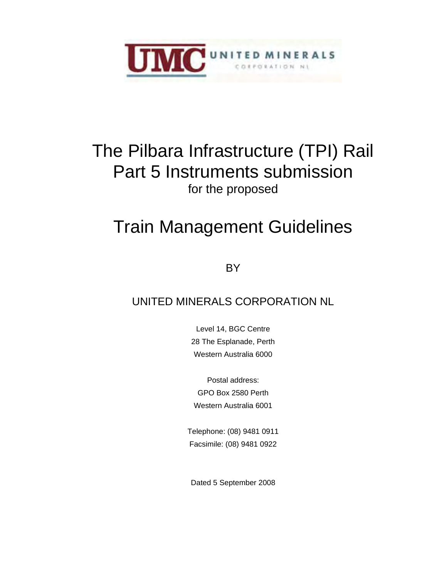

# The Pilbara Infrastructure (TPI) Rail Part 5 Instruments submission for the proposed

# Train Management Guidelines

**BY** 

# UNITED MINERALS CORPORATION NL

Level 14, BGC Centre 28 The Esplanade, Perth Western Australia 6000

Postal address: GPO Box 2580 Perth Western Australia 6001

Telephone: (08) 9481 0911 Facsimile: (08) 9481 0922

Dated 5 September 2008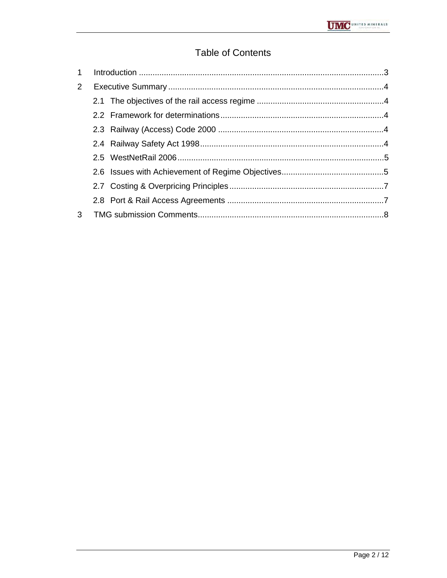## **Table of Contents**

| 2 <sup>1</sup> |  |
|----------------|--|
|                |  |
|                |  |
|                |  |
|                |  |
|                |  |
|                |  |
|                |  |
|                |  |
|                |  |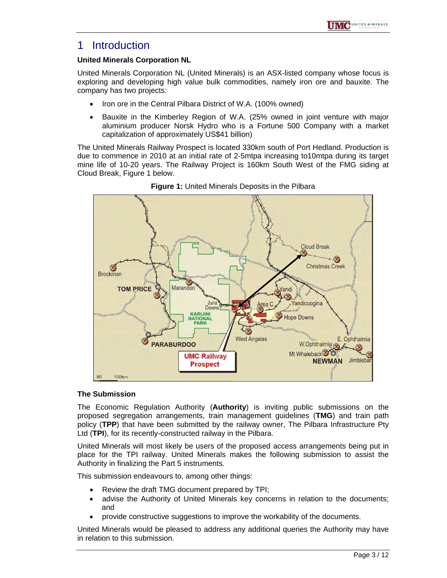### 1 Introduction

#### **United Minerals Corporation NL**

United Minerals Corporation NL (United Minerals) is an ASX-listed company whose focus is exploring and developing high value bulk commodities, namely iron ore and bauxite. The company has two projects:

- Iron ore in the Central Pilbara District of W.A. (100% owned)
- Bauxite in the Kimberley Region of W.A. (25% owned in joint venture with major aluminium producer Norsk Hydro who is a Fortune 500 Company with a market capitalization of approximately US\$41 billion)

The United Minerals Railway Prospect is located 330km south of Port Hedland. Production is due to commence in 2010 at an initial rate of 2-5mtpa increasing to10mtpa during its target mine life of 10-20 years. The Railway Project is 160km South West of the FMG siding at Cloud Break, Figure 1 below.



**Figure 1:** United Minerals Deposits in the Pilbara

#### **The Submission**

The Economic Regulation Authority (**Authority**) is inviting public submissions on the proposed segregation arrangements, train management guidelines (**TMG**) and train path policy (**TPP**) that have been submitted by the railway owner, The Pilbara Infrastructure Pty Ltd (**TPI**), for its recently-constructed railway in the Pilbara.

United Minerals will most likely be users of the proposed access arrangements being put in place for the TPI railway. United Minerals makes the following submission to assist the Authority in finalizing the Part 5 instruments.

This submission endeavours to, among other things:

- Review the draft TMG document prepared by TPI;
- advise the Authority of United Minerals key concerns in relation to the documents; and
- provide constructive suggestions to improve the workability of the documents.

United Minerals would be pleased to address any additional queries the Authority may have in relation to this submission.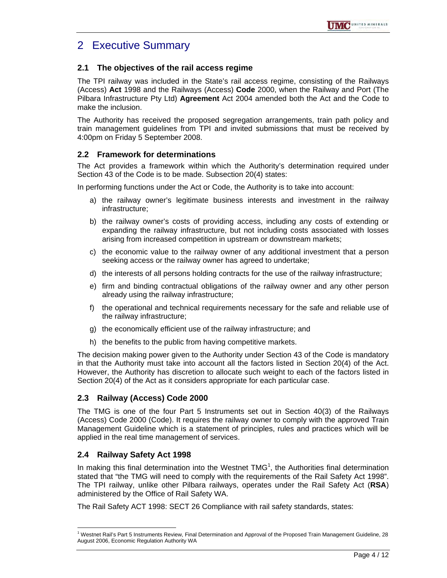# 2 Executive Summary

#### **2.1 The objectives of the rail access regime**

The TPI railway was included in the State's rail access regime, consisting of the Railways (Access) **Act** 1998 and the Railways (Access) **Code** 2000, when the Railway and Port (The Pilbara Infrastructure Pty Ltd) **Agreement** Act 2004 amended both the Act and the Code to make the inclusion.

The Authority has received the proposed segregation arrangements, train path policy and train management guidelines from TPI and invited submissions that must be received by 4:00pm on Friday 5 September 2008.

#### **2.2 Framework for determinations**

The Act provides a framework within which the Authority's determination required under Section 43 of the Code is to be made. Subsection 20(4) states:

In performing functions under the Act or Code, the Authority is to take into account:

- a) the railway owner's legitimate business interests and investment in the railway infrastructure;
- b) the railway owner's costs of providing access, including any costs of extending or expanding the railway infrastructure, but not including costs associated with losses arising from increased competition in upstream or downstream markets;
- c) the economic value to the railway owner of any additional investment that a person seeking access or the railway owner has agreed to undertake;
- d) the interests of all persons holding contracts for the use of the railway infrastructure;
- e) firm and binding contractual obligations of the railway owner and any other person already using the railway infrastructure;
- f) the operational and technical requirements necessary for the safe and reliable use of the railway infrastructure;
- g) the economically efficient use of the railway infrastructure; and
- h) the benefits to the public from having competitive markets.

The decision making power given to the Authority under Section 43 of the Code is mandatory in that the Authority must take into account all the factors listed in Section 20(4) of the Act. However, the Authority has discretion to allocate such weight to each of the factors listed in Section 20(4) of the Act as it considers appropriate for each particular case.

#### **2.3 Railway (Access) Code 2000**

The TMG is one of the four Part 5 Instruments set out in Section 40(3) of the Railways (Access) Code 2000 (Code). It requires the railway owner to comply with the approved Train Management Guideline which is a statement of principles, rules and practices which will be applied in the real time management of services.

#### **2.4 Railway Safety Act 1998**

In making this final determination into the Westnet  $TMG<sup>1</sup>$ , the Authorities final determination stated that "the TMG will need to comply with the requirements of the Rail Safety Act 1998". The TPI railway, unlike other Pilbara railways, operates under the Rail Safety Act (**RSA**) administered by the Office of Rail Safety WA.

The Rail Safety ACT 1998: SECT 26 Compliance with rail safety standards, states:

 $\overline{a}$ <sup>1</sup> Westnet Rail's Part 5 Instruments Review, Final Determination and Approval of the Proposed Train Management Guideline, 28 August 2006, Economic Regulation Authority WA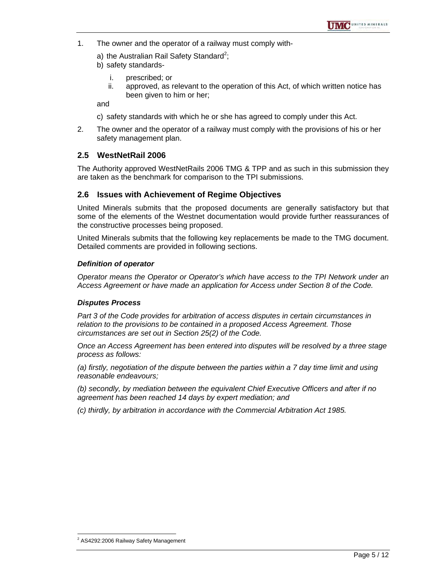- 1. The owner and the operator of a railway must comply with
	- a) the Australian Rail Safety Standard<sup>2</sup>;
	- b) safety standards
		- i. prescribed; or
		- ii. approved, as relevant to the operation of this Act, of which written notice has been given to him or her;

and

- c) safety standards with which he or she has agreed to comply under this Act.
- 2. The owner and the operator of a railway must comply with the provisions of his or her safety management plan.

#### **2.5 WestNetRail 2006**

The Authority approved WestNetRails 2006 TMG & TPP and as such in this submission they are taken as the benchmark for comparison to the TPI submissions.

#### **2.6 Issues with Achievement of Regime Objectives**

United Minerals submits that the proposed documents are generally satisfactory but that some of the elements of the Westnet documentation would provide further reassurances of the constructive processes being proposed.

United Minerals submits that the following key replacements be made to the TMG document. Detailed comments are provided in following sections.

#### *Definition of operator*

*Operator means the Operator or Operator's which have access to the TPI Network under an Access Agreement or have made an application for Access under Section 8 of the Code.* 

#### *Disputes Process*

*Part 3 of the Code provides for arbitration of access disputes in certain circumstances in relation to the provisions to be contained in a proposed Access Agreement. Those circumstances are set out in Section 25(2) of the Code.* 

*Once an Access Agreement has been entered into disputes will be resolved by a three stage process as follows:* 

*(a) firstly, negotiation of the dispute between the parties within a 7 day time limit and using reasonable endeavours;* 

*(b) secondly, by mediation between the equivalent Chief Executive Officers and after if no agreement has been reached 14 days by expert mediation; and* 

*(c) thirdly, by arbitration in accordance with the Commercial Arbitration Act 1985.* 

 $\overline{a}$ <sup>2</sup> AS4292:2006 Railway Safety Management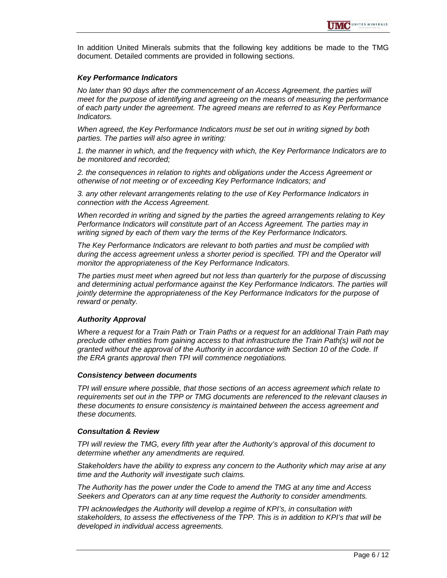In addition United Minerals submits that the following key additions be made to the TMG document. Detailed comments are provided in following sections.

#### *Key Performance Indicators*

*No later than 90 days after the commencement of an Access Agreement, the parties will meet for the purpose of identifying and agreeing on the means of measuring the performance of each party under the agreement. The agreed means are referred to as Key Performance Indicators.* 

*When agreed, the Key Performance Indicators must be set out in writing signed by both parties. The parties will also agree in writing:* 

*1. the manner in which, and the frequency with which, the Key Performance Indicators are to be monitored and recorded;* 

*2. the consequences in relation to rights and obligations under the Access Agreement or otherwise of not meeting or of exceeding Key Performance Indicators; and* 

*3. any other relevant arrangements relating to the use of Key Performance Indicators in connection with the Access Agreement.* 

*When recorded in writing and signed by the parties the agreed arrangements relating to Key Performance Indicators will constitute part of an Access Agreement. The parties may in writing signed by each of them vary the terms of the Key Performance Indicators.* 

*The Key Performance Indicators are relevant to both parties and must be complied with during the access agreement unless a shorter period is specified. TPI and the Operator will monitor the appropriateness of the Key Performance Indicators.* 

*The parties must meet when agreed but not less than quarterly for the purpose of discussing and determining actual performance against the Key Performance Indicators. The parties will jointly determine the appropriateness of the Key Performance Indicators for the purpose of reward or penalty.* 

#### *Authority Approval*

*Where a request for a Train Path or Train Paths or a request for an additional Train Path may preclude other entities from gaining access to that infrastructure the Train Path(s) will not be granted without the approval of the Authority in accordance with Section 10 of the Code. If the ERA grants approval then TPI will commence negotiations.* 

#### *Consistency between documents*

*TPI will ensure where possible, that those sections of an access agreement which relate to requirements set out in the TPP or TMG documents are referenced to the relevant clauses in these documents to ensure consistency is maintained between the access agreement and these documents.* 

#### *Consultation & Review*

*TPI will review the TMG, every fifth year after the Authority's approval of this document to determine whether any amendments are required.* 

*Stakeholders have the ability to express any concern to the Authority which may arise at any time and the Authority will investigate such claims.* 

*The Authority has the power under the Code to amend the TMG at any time and Access Seekers and Operators can at any time request the Authority to consider amendments.* 

*TPI acknowledges the Authority will develop a regime of KPI's, in consultation with stakeholders, to assess the effectiveness of the TPP. This is in addition to KPI's that will be developed in individual access agreements.*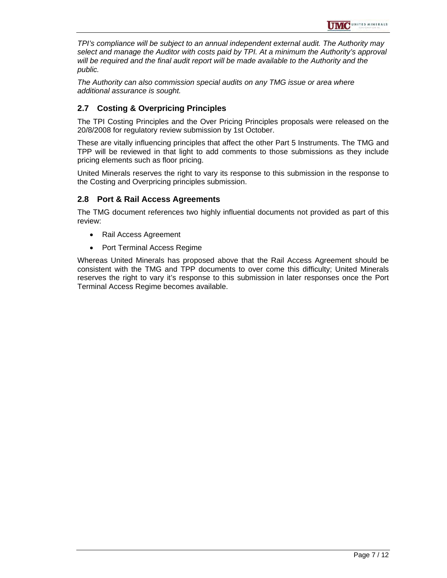*TPI's compliance will be subject to an annual independent external audit. The Authority may select and manage the Auditor with costs paid by TPI. At a minimum the Authority's approval will be required and the final audit report will be made available to the Authority and the public.* 

*The Authority can also commission special audits on any TMG issue or area where additional assurance is sought.* 

#### **2.7 Costing & Overpricing Principles**

The TPI Costing Principles and the Over Pricing Principles proposals were released on the 20/8/2008 for regulatory review submission by 1st October.

These are vitally influencing principles that affect the other Part 5 Instruments. The TMG and TPP will be reviewed in that light to add comments to those submissions as they include pricing elements such as floor pricing.

United Minerals reserves the right to vary its response to this submission in the response to the Costing and Overpricing principles submission.

#### **2.8 Port & Rail Access Agreements**

The TMG document references two highly influential documents not provided as part of this review:

- Rail Access Agreement
- Port Terminal Access Regime

Whereas United Minerals has proposed above that the Rail Access Agreement should be consistent with the TMG and TPP documents to over come this difficulty; United Minerals reserves the right to vary it's response to this submission in later responses once the Port Terminal Access Regime becomes available.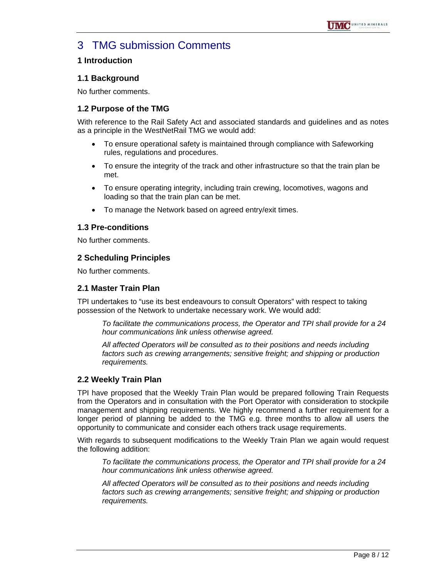# 3 TMG submission Comments

#### **1 Introduction**

#### **1.1 Background**

No further comments.

#### **1.2 Purpose of the TMG**

With reference to the Rail Safety Act and associated standards and guidelines and as notes as a principle in the WestNetRail TMG we would add:

- To ensure operational safety is maintained through compliance with Safeworking rules, regulations and procedures.
- To ensure the integrity of the track and other infrastructure so that the train plan be met.
- To ensure operating integrity, including train crewing, locomotives, wagons and loading so that the train plan can be met.
- To manage the Network based on agreed entry/exit times.

#### **1.3 Pre-conditions**

No further comments.

#### **2 Scheduling Principles**

No further comments.

#### **2.1 Master Train Plan**

TPI undertakes to "use its best endeavours to consult Operators" with respect to taking possession of the Network to undertake necessary work. We would add:

*To facilitate the communications process, the Operator and TPI shall provide for a 24 hour communications link unless otherwise agreed.* 

*All affected Operators will be consulted as to their positions and needs including factors such as crewing arrangements; sensitive freight; and shipping or production requirements.* 

#### **2.2 Weekly Train Plan**

TPI have proposed that the Weekly Train Plan would be prepared following Train Requests from the Operators and in consultation with the Port Operator with consideration to stockpile management and shipping requirements. We highly recommend a further requirement for a longer period of planning be added to the TMG e.g. three months to allow all users the opportunity to communicate and consider each others track usage requirements.

With regards to subsequent modifications to the Weekly Train Plan we again would request the following addition:

*To facilitate the communications process, the Operator and TPI shall provide for a 24 hour communications link unless otherwise agreed.* 

*All affected Operators will be consulted as to their positions and needs including factors such as crewing arrangements; sensitive freight; and shipping or production requirements.*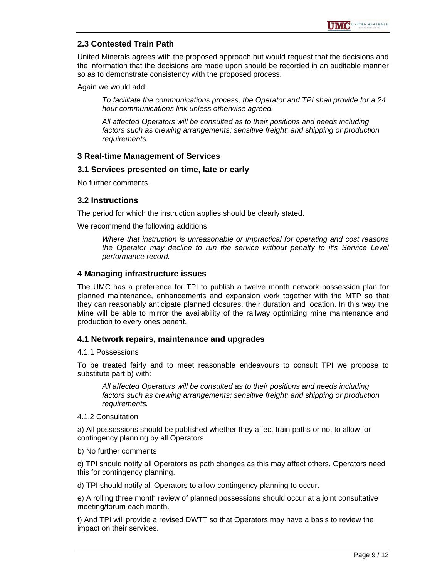#### **2.3 Contested Train Path**

United Minerals agrees with the proposed approach but would request that the decisions and the information that the decisions are made upon should be recorded in an auditable manner so as to demonstrate consistency with the proposed process.

Again we would add:

*To facilitate the communications process, the Operator and TPI shall provide for a 24 hour communications link unless otherwise agreed.* 

*All affected Operators will be consulted as to their positions and needs including factors such as crewing arrangements; sensitive freight; and shipping or production requirements.* 

#### **3 Real-time Management of Services**

#### **3.1 Services presented on time, late or early**

No further comments.

#### **3.2 Instructions**

The period for which the instruction applies should be clearly stated.

We recommend the following additions:

*Where that instruction is unreasonable or impractical for operating and cost reasons the Operator may decline to run the service without penalty to it's Service Level performance record.* 

#### **4 Managing infrastructure issues**

The UMC has a preference for TPI to publish a twelve month network possession plan for planned maintenance, enhancements and expansion work together with the MTP so that they can reasonably anticipate planned closures, their duration and location. In this way the Mine will be able to mirror the availability of the railway optimizing mine maintenance and production to every ones benefit.

#### **4.1 Network repairs, maintenance and upgrades**

#### 4.1.1 Possessions

To be treated fairly and to meet reasonable endeavours to consult TPI we propose to substitute part b) with:

*All affected Operators will be consulted as to their positions and needs including factors such as crewing arrangements; sensitive freight; and shipping or production requirements.* 

#### 4.1.2 Consultation

a) All possessions should be published whether they affect train paths or not to allow for contingency planning by all Operators

#### b) No further comments

c) TPI should notify all Operators as path changes as this may affect others, Operators need this for contingency planning.

d) TPI should notify all Operators to allow contingency planning to occur.

e) A rolling three month review of planned possessions should occur at a joint consultative meeting/forum each month.

f) And TPI will provide a revised DWTT so that Operators may have a basis to review the impact on their services.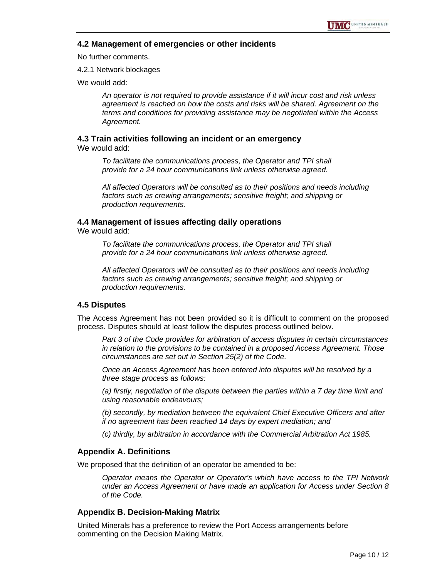#### **4.2 Management of emergencies or other incidents**

No further comments.

4.2.1 Network blockages

We would add:

*An operator is not required to provide assistance if it will incur cost and risk unless agreement is reached on how the costs and risks will be shared. Agreement on the terms and conditions for providing assistance may be negotiated within the Access Agreement.* 

# **4.3 Train activities following an incident or an emergency**

We would add:

*To facilitate the communications process, the Operator and TPI shall provide for a 24 hour communications link unless otherwise agreed.* 

*All affected Operators will be consulted as to their positions and needs including factors such as crewing arrangements; sensitive freight; and shipping or production requirements.* 

#### **4.4 Management of issues affecting daily operations**

We would add:

*To facilitate the communications process, the Operator and TPI shall provide for a 24 hour communications link unless otherwise agreed.* 

*All affected Operators will be consulted as to their positions and needs including factors such as crewing arrangements; sensitive freight; and shipping or production requirements.* 

#### **4.5 Disputes**

The Access Agreement has not been provided so it is difficult to comment on the proposed process. Disputes should at least follow the disputes process outlined below.

*Part 3 of the Code provides for arbitration of access disputes in certain circumstances in relation to the provisions to be contained in a proposed Access Agreement. Those circumstances are set out in Section 25(2) of the Code.* 

*Once an Access Agreement has been entered into disputes will be resolved by a three stage process as follows:* 

*(a) firstly, negotiation of the dispute between the parties within a 7 day time limit and using reasonable endeavours;* 

*(b) secondly, by mediation between the equivalent Chief Executive Officers and after if no agreement has been reached 14 days by expert mediation; and* 

*(c) thirdly, by arbitration in accordance with the Commercial Arbitration Act 1985.* 

#### **Appendix A. Definitions**

We proposed that the definition of an operator be amended to be:

*Operator means the Operator or Operator's which have access to the TPI Network under an Access Agreement or have made an application for Access under Section 8 of the Code.* 

#### **Appendix B. Decision-Making Matrix**

United Minerals has a preference to review the Port Access arrangements before commenting on the Decision Making Matrix.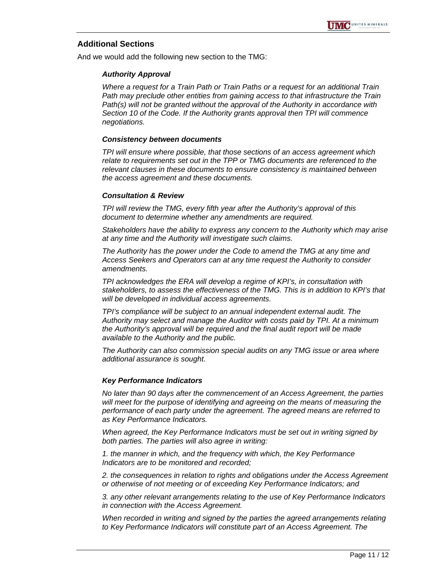#### **Additional Sections**

And we would add the following new section to the TMG:

#### *Authority Approval*

*Where a request for a Train Path or Train Paths or a request for an additional Train Path may preclude other entities from gaining access to that infrastructure the Train Path(s) will not be granted without the approval of the Authority in accordance with Section 10 of the Code. If the Authority grants approval then TPI will commence negotiations.* 

#### *Consistency between documents*

*TPI will ensure where possible, that those sections of an access agreement which relate to requirements set out in the TPP or TMG documents are referenced to the relevant clauses in these documents to ensure consistency is maintained between the access agreement and these documents.* 

#### *Consultation & Review*

*TPI will review the TMG, every fifth year after the Authority's approval of this document to determine whether any amendments are required.* 

*Stakeholders have the ability to express any concern to the Authority which may arise at any time and the Authority will investigate such claims.* 

*The Authority has the power under the Code to amend the TMG at any time and Access Seekers and Operators can at any time request the Authority to consider amendments.* 

*TPI acknowledges the ERA will develop a regime of KPI's, in consultation with stakeholders, to assess the effectiveness of the TMG. This is in addition to KPI's that will be developed in individual access agreements.* 

*TPI's compliance will be subject to an annual independent external audit. The Authority may select and manage the Auditor with costs paid by TPI. At a minimum the Authority's approval will be required and the final audit report will be made available to the Authority and the public.* 

*The Authority can also commission special audits on any TMG issue or area where additional assurance is sought.* 

#### *Key Performance Indicators*

*No later than 90 days after the commencement of an Access Agreement, the parties will meet for the purpose of identifying and agreeing on the means of measuring the performance of each party under the agreement. The agreed means are referred to as Key Performance Indicators.* 

*When agreed, the Key Performance Indicators must be set out in writing signed by both parties. The parties will also agree in writing:* 

*1. the manner in which, and the frequency with which, the Key Performance Indicators are to be monitored and recorded;* 

*2. the consequences in relation to rights and obligations under the Access Agreement or otherwise of not meeting or of exceeding Key Performance Indicators; and* 

*3. any other relevant arrangements relating to the use of Key Performance Indicators in connection with the Access Agreement.* 

*When recorded in writing and signed by the parties the agreed arrangements relating to Key Performance Indicators will constitute part of an Access Agreement. The*